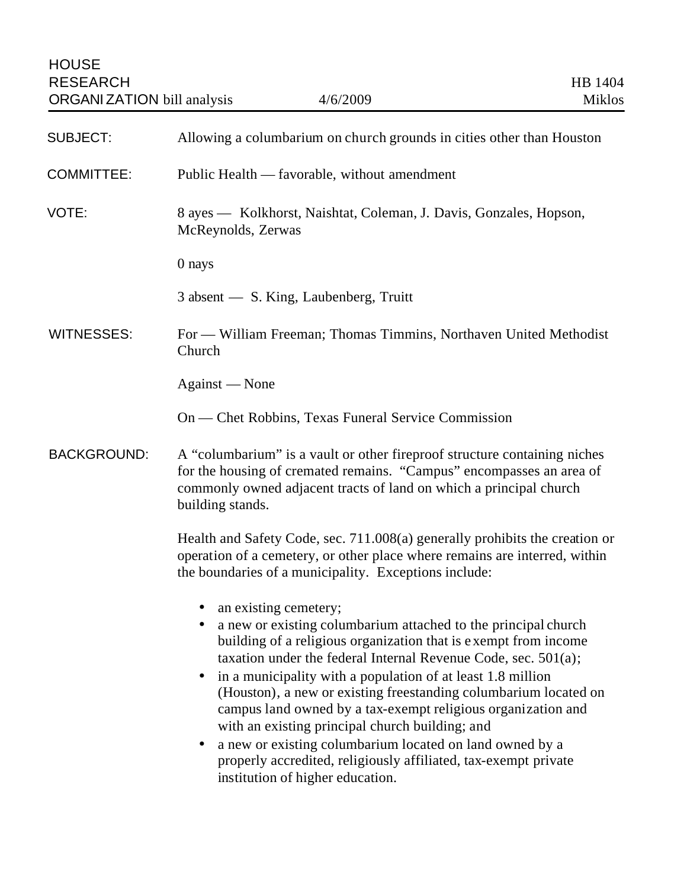| <b>SUBJECT:</b>    | Allowing a columbarium on church grounds in cities other than Houston                                                                                                                                                                                                                                                                                                                                                                                                                                                                                                                                                                                         |
|--------------------|---------------------------------------------------------------------------------------------------------------------------------------------------------------------------------------------------------------------------------------------------------------------------------------------------------------------------------------------------------------------------------------------------------------------------------------------------------------------------------------------------------------------------------------------------------------------------------------------------------------------------------------------------------------|
| <b>COMMITTEE:</b>  | Public Health — favorable, without amendment                                                                                                                                                                                                                                                                                                                                                                                                                                                                                                                                                                                                                  |
| VOTE:              | 8 ayes — Kolkhorst, Naishtat, Coleman, J. Davis, Gonzales, Hopson,<br>McReynolds, Zerwas                                                                                                                                                                                                                                                                                                                                                                                                                                                                                                                                                                      |
|                    | 0 nays                                                                                                                                                                                                                                                                                                                                                                                                                                                                                                                                                                                                                                                        |
|                    | 3 absent - S. King, Laubenberg, Truitt                                                                                                                                                                                                                                                                                                                                                                                                                                                                                                                                                                                                                        |
| <b>WITNESSES:</b>  | For — William Freeman; Thomas Timmins, Northaven United Methodist<br>Church                                                                                                                                                                                                                                                                                                                                                                                                                                                                                                                                                                                   |
|                    | Against — None                                                                                                                                                                                                                                                                                                                                                                                                                                                                                                                                                                                                                                                |
|                    | On — Chet Robbins, Texas Funeral Service Commission                                                                                                                                                                                                                                                                                                                                                                                                                                                                                                                                                                                                           |
| <b>BACKGROUND:</b> | A "columbarium" is a vault or other fireproof structure containing niches<br>for the housing of cremated remains. "Campus" encompasses an area of<br>commonly owned adjacent tracts of land on which a principal church<br>building stands.                                                                                                                                                                                                                                                                                                                                                                                                                   |
|                    | Health and Safety Code, sec. 711.008(a) generally prohibits the creation or<br>operation of a cemetery, or other place where remains are interred, within<br>the boundaries of a municipality. Exceptions include:                                                                                                                                                                                                                                                                                                                                                                                                                                            |
|                    | an existing cemetery;<br>a new or existing columbarium attached to the principal church<br>building of a religious organization that is exempt from income<br>taxation under the federal Internal Revenue Code, sec. $501(a)$ ;<br>in a municipality with a population of at least 1.8 million<br>(Houston), a new or existing freestanding columbarium located on<br>campus land owned by a tax-exempt religious organization and<br>with an existing principal church building; and<br>a new or existing columbarium located on land owned by a<br>٠<br>properly accredited, religiously affiliated, tax-exempt private<br>institution of higher education. |